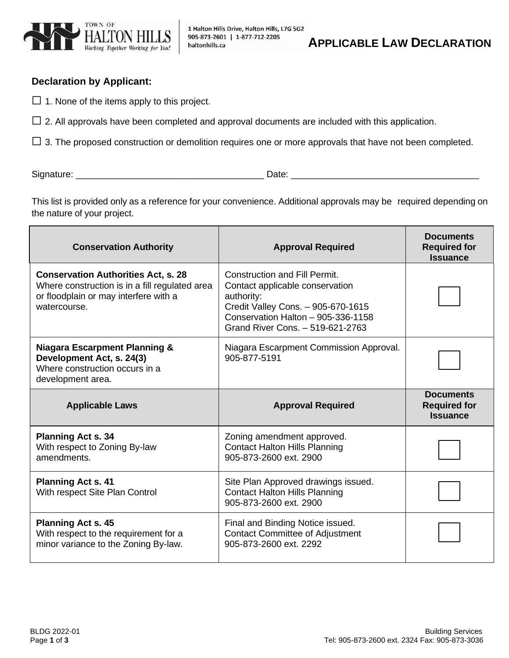

1 Halton Hills Drive, Halton Hills, L7G 5G2

 **APPLICABLE LAW DECLARATION**

## **Declaration by Applicant:**

 $\Box$  1. None of the items apply to this project.

 $\Box$  2. All approvals have been completed and approval documents are included with this application.

 $\Box$  3. The proposed construction or demolition requires one or more approvals that have not been completed.

Signature: \_\_\_\_\_\_\_\_\_\_\_\_\_\_\_\_\_\_\_\_\_\_\_\_\_\_\_\_\_\_\_\_\_\_\_\_\_ Date: \_\_\_\_\_\_\_\_\_\_\_\_\_\_\_\_\_\_\_\_\_\_\_\_\_\_\_\_\_\_\_\_\_\_\_\_\_

This list is provided only as a reference for your convenience. Additional approvals may be required depending on the nature of your project.

| <b>Conservation Authority</b>                                                                                                                         | <b>Approval Required</b>                                                                                                                                                                              | <b>Documents</b><br><b>Required for</b><br><b>Issuance</b> |
|-------------------------------------------------------------------------------------------------------------------------------------------------------|-------------------------------------------------------------------------------------------------------------------------------------------------------------------------------------------------------|------------------------------------------------------------|
| <b>Conservation Authorities Act, s. 28</b><br>Where construction is in a fill regulated area<br>or floodplain or may interfere with a<br>watercourse. | <b>Construction and Fill Permit.</b><br>Contact applicable conservation<br>authority:<br>Credit Valley Cons. - 905-670-1615<br>Conservation Halton - 905-336-1158<br>Grand River Cons. - 519-621-2763 |                                                            |
| <b>Niagara Escarpment Planning &amp;</b><br>Development Act, s. 24(3)<br>Where construction occurs in a<br>development area.                          | Niagara Escarpment Commission Approval.<br>905-877-5191                                                                                                                                               |                                                            |
|                                                                                                                                                       |                                                                                                                                                                                                       | <b>Documents</b>                                           |
| <b>Applicable Laws</b>                                                                                                                                | <b>Approval Required</b>                                                                                                                                                                              | <b>Required for</b><br><b>Issuance</b>                     |
| <b>Planning Act s. 34</b><br>With respect to Zoning By-law<br>amendments.                                                                             | Zoning amendment approved.<br><b>Contact Halton Hills Planning</b><br>905-873-2600 ext. 2900                                                                                                          |                                                            |
| <b>Planning Act s. 41</b><br>With respect Site Plan Control                                                                                           | Site Plan Approved drawings issued.<br><b>Contact Halton Hills Planning</b><br>905-873-2600 ext. 2900                                                                                                 |                                                            |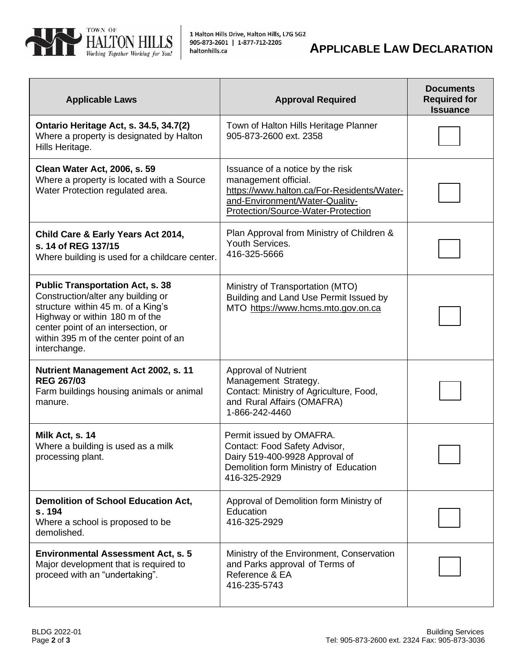

| <b>Applicable Laws</b>                                                                                                                                                                                                                                 | <b>Approval Required</b>                                                                                                                                                       | <b>Documents</b><br><b>Required for</b><br><b>Issuance</b> |
|--------------------------------------------------------------------------------------------------------------------------------------------------------------------------------------------------------------------------------------------------------|--------------------------------------------------------------------------------------------------------------------------------------------------------------------------------|------------------------------------------------------------|
| Ontario Heritage Act, s. 34.5, 34.7(2)<br>Where a property is designated by Halton<br>Hills Heritage.                                                                                                                                                  | Town of Halton Hills Heritage Planner<br>905-873-2600 ext. 2358                                                                                                                |                                                            |
| <b>Clean Water Act, 2006, s. 59</b><br>Where a property is located with a Source<br>Water Protection regulated area.                                                                                                                                   | Issuance of a notice by the risk<br>management official.<br>https://www.halton.ca/For-Residents/Water-<br>and-Environment/Water-Quality-<br>Protection/Source-Water-Protection |                                                            |
| Child Care & Early Years Act 2014,<br>s. 14 of REG 137/15<br>Where building is used for a childcare center.                                                                                                                                            | Plan Approval from Ministry of Children &<br>Youth Services.<br>416-325-5666                                                                                                   |                                                            |
| <b>Public Transportation Act, s. 38</b><br>Construction/alter any building or<br>structure within 45 m. of a King's<br>Highway or within 180 m of the<br>center point of an intersection, or<br>within 395 m of the center point of an<br>interchange. | Ministry of Transportation (MTO)<br>Building and Land Use Permit Issued by<br>MTO https://www.hcms.mto.gov.on.ca                                                               |                                                            |
| Nutrient Management Act 2002, s. 11<br><b>REG 267/03</b><br>Farm buildings housing animals or animal<br>manure.                                                                                                                                        | <b>Approval of Nutrient</b><br>Management Strategy.<br>Contact: Ministry of Agriculture, Food,<br>and Rural Affairs (OMAFRA)<br>1-866-242-4460                                 |                                                            |
| Milk Act, s. 14<br>Where a building is used as a milk<br>processing plant.                                                                                                                                                                             | Permit issued by OMAFRA.<br>Contact: Food Safety Advisor,<br>Dairy 519-400-9928 Approval of<br>Demolition form Ministry of Education<br>416-325-2929                           |                                                            |
| <b>Demolition of School Education Act,</b><br>s. 194<br>Where a school is proposed to be<br>demolished.                                                                                                                                                | Approval of Demolition form Ministry of<br>Education<br>416-325-2929                                                                                                           |                                                            |
| <b>Environmental Assessment Act, s. 5</b><br>Major development that is required to<br>proceed with an "undertaking".                                                                                                                                   | Ministry of the Environment, Conservation<br>and Parks approval of Terms of<br>Reference & EA<br>416-235-5743                                                                  |                                                            |